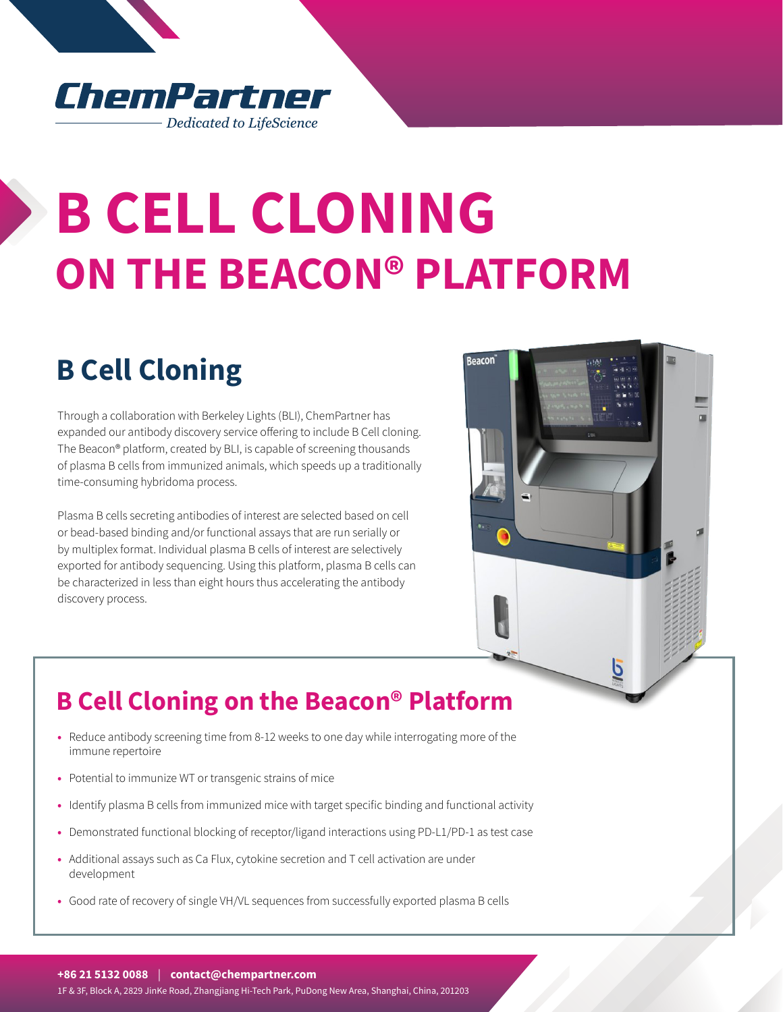#### ChemPartner Dedicated to LifeScience

# **B CELL CLONING ON THE BEACON® PLATFORM**

## **B Cell Cloning**

Through a collaboration with Berkeley Lights (BLI), ChemPartner has expanded our antibody discovery service offering to include B Cell cloning. The Beacon® platform, created by BLI, is capable of screening thousands of plasma B cells from immunized animals, which speeds up a traditionally time-consuming hybridoma process.

Plasma B cells secreting antibodies of interest are selected based on cell or bead-based binding and/or functional assays that are run serially or by multiplex format. Individual plasma B cells of interest are selectively exported for antibody sequencing. Using this platform, plasma B cells can be characterized in less than eight hours thus accelerating the antibody discovery process.



### **B Cell Cloning on the Beacon® Platform**

- **•** Reduce antibody screening time from 8-12 weeks to one day while interrogating more of the immune repertoire
- **•** Potential to immunize WT or transgenic strains of mice
- **•** Identify plasma B cells from immunized mice with target specific binding and functional activity
- **•** Demonstrated functional blocking of receptor/ligand interactions using PD-L1/PD-1 as test case
- **•** Additional assays such as Ca Flux, cytokine secretion and T cell activation are under development
- **•** Good rate of recovery of single VH/VL sequences from successfully exported plasma B cells

**+86 21 5132 0088** | **contact@chempartner.com**

1F & 3F, Block A, 2829 JinKe Road, Zhangjiang Hi-Tech Park, PuDong New Area, Shanghai, China, 201203